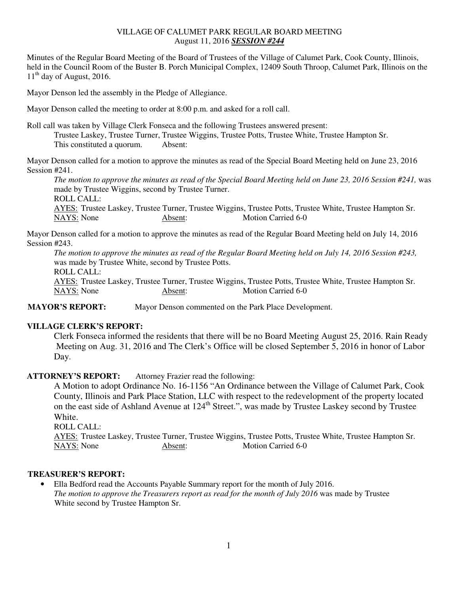### VILLAGE OF CALUMET PARK REGULAR BOARD MEETING August 11, 2016 *SESSION #244*

Minutes of the Regular Board Meeting of the Board of Trustees of the Village of Calumet Park, Cook County, Illinois, held in the Council Room of the Buster B. Porch Municipal Complex, 12409 South Throop, Calumet Park, Illinois on the  $11<sup>th</sup>$  day of August, 2016.

Mayor Denson led the assembly in the Pledge of Allegiance.

Mayor Denson called the meeting to order at 8:00 p.m. and asked for a roll call.

Roll call was taken by Village Clerk Fonseca and the following Trustees answered present: Trustee Laskey, Trustee Turner, Trustee Wiggins, Trustee Potts, Trustee White, Trustee Hampton Sr. This constituted a quorum. Absent:

Mayor Denson called for a motion to approve the minutes as read of the Special Board Meeting held on June 23, 2016 Session #241.

*The motion to approve the minutes as read of the Special Board Meeting held on June 23, 2016 Session #241, was* made by Trustee Wiggins, second by Trustee Turner. ROLL CALL: AYES: Trustee Laskey, Trustee Turner, Trustee Wiggins, Trustee Potts, Trustee White, Trustee Hampton Sr. NAYS: None Absent: Motion Carried 6-0

Mayor Denson called for a motion to approve the minutes as read of the Regular Board Meeting held on July 14, 2016 Session #243.

*The motion to approve the minutes as read of the Regular Board Meeting held on July 14, 2016 Session #243,*  was made by Trustee White, second by Trustee Potts. ROLL CALL: AYES: Trustee Laskey, Trustee Turner, Trustee Wiggins, Trustee Potts, Trustee White, Trustee Hampton Sr. NAYS: None Absent: Motion Carried 6-0

**MAYOR'S REPORT:** Mayor Denson commented on the Park Place Development.

## **VILLAGE CLERK'S REPORT:**

Clerk Fonseca informed the residents that there will be no Board Meeting August 25, 2016. Rain Ready Meeting on Aug. 31, 2016 and The Clerk's Office will be closed September 5, 2016 in honor of Labor Day.

# **ATTORNEY'S REPORT:** Attorney Frazier read the following:

A Motion to adopt Ordinance No. 16-1156 "An Ordinance between the Village of Calumet Park, Cook County, Illinois and Park Place Station, LLC with respect to the redevelopment of the property located on the east side of Ashland Avenue at 124<sup>th</sup> Street.", was made by Trustee Laskey second by Trustee White.

```
 ROLL CALL:
```
 AYES: Trustee Laskey, Trustee Turner, Trustee Wiggins, Trustee Potts, Trustee White, Trustee Hampton Sr. NAYS: None Absent: Motion Carried 6-0

## **TREASURER'S REPORT:**

• Ella Bedford read the Accounts Payable Summary report for the month of July 2016. *The motion to approve the Treasurers report as read for the month of July 2016* was made by Trustee White second by Trustee Hampton Sr.